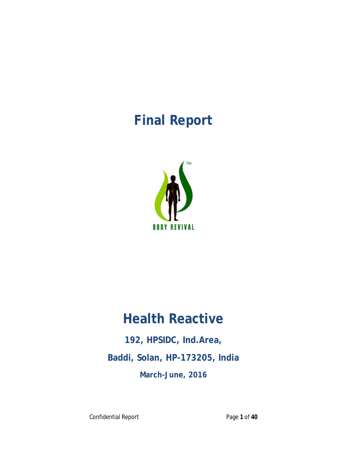# **Final Report**



# **Health Reactive**

**192, HPSIDC, Ind.Area, Baddi, Solan, HP-173205, India March-June, 2016**

Confidential Report **Page 1** of 40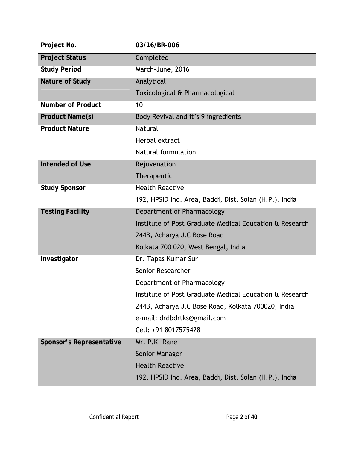| Project No.              | 03/16/BR-006                                            |  |
|--------------------------|---------------------------------------------------------|--|
| <b>Project Status</b>    | Completed                                               |  |
| <b>Study Period</b>      | March-June, 2016                                        |  |
| Nature of Study          | Analytical                                              |  |
|                          | Toxicological & Pharmacological                         |  |
| Number of Product        | 10                                                      |  |
| Product Name(s)          | Body Revival and it's 9 ingredients                     |  |
| <b>Product Nature</b>    | <b>Natural</b>                                          |  |
|                          | Herbal extract                                          |  |
|                          | Natural formulation                                     |  |
| Intended of Use          | Rejuvenation                                            |  |
|                          | Therapeutic                                             |  |
| <b>Study Sponsor</b>     | <b>Health Reactive</b>                                  |  |
|                          | 192, HPSID Ind. Area, Baddi, Dist. Solan (H.P.), India  |  |
| <b>Testing Facility</b>  | Department of Pharmacology                              |  |
|                          | Institute of Post Graduate Medical Education & Research |  |
|                          | 244B, Acharya J.C Bose Road                             |  |
|                          | Kolkata 700 020, West Bengal, India                     |  |
| Investigator             | Dr. Tapas Kumar Sur                                     |  |
|                          | Senior Researcher                                       |  |
|                          | Department of Pharmacology                              |  |
|                          | Institute of Post Graduate Medical Education & Research |  |
|                          | 244B, Acharya J.C Bose Road, Kolkata 700020, India      |  |
|                          | e-mail: drdbdrtks@gmail.com                             |  |
|                          | Cell: +91 8017575428                                    |  |
| Sponsor's Representative | Mr. P.K. Rane                                           |  |
|                          | Senior Manager                                          |  |
|                          | <b>Health Reactive</b>                                  |  |
|                          | 192, HPSID Ind. Area, Baddi, Dist. Solan (H.P.), India  |  |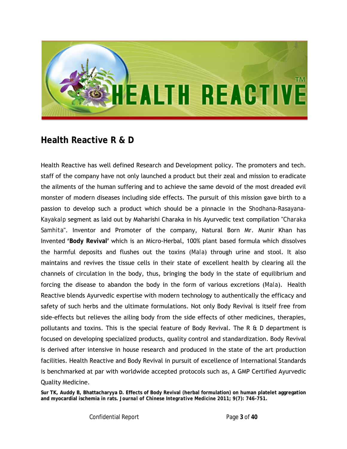

### **Health Reactive R & D**

Health Reactive has well defined Research and Development policy. The promoters and tech. staff of the company have not only launched a product but their zeal and mission to eradicate the ailments of the human suffering and to achieve the same devoid of the most dreaded evil monster of modern diseases including side effects. The pursuit of this mission gave birth to a passion to develop such a product which should be a pinnacle in the *Shodhana-Rasayana-Kayakalp* segment as laid out by Maharishi Charaka in his Ayurvedic text compilation "*Charaka Samhita*". Inventor and Promoter of the company, Natural Born Mr. Munir Khan has Invented **'Body Revival'** which is an Micro-Herbal, 100% plant based formula which dissolves the harmful deposits and flushes out the toxins (*Mala*) through urine and stool. It also maintains and revives the tissue cells in their state of excellent health by clearing all the channels of circulation in the body, thus, bringing the body in the state of equilibrium and forcing the disease to abandon the body in the form of various excretions (*Mala*). Health Reactive blends Ayurvedic expertise with modern technology to authentically the efficacy and safety of such herbs and the ultimate formulations. Not only Body Revival is itself free from side-effects but relieves the ailing body from the side effects of other medicines, therapies, pollutants and toxins. This is the special feature of Body Revival. The R & D department is focused on developing specialized products, quality control and standardization. Body Revival is derived after intensive in house research and produced in the state of the art production facilities. Health Reactive and Body Revival in pursuit of excellence of International Standards is benchmarked at par with worldwide accepted protocols such as, A GMP Certified Ayurvedic Quality Medicine.

**Sur TK, Auddy B, Bhattacharyya D. Effects of Body Revival (herbal formulation) on human platelet aggregation and myocardial ischemia in rats.** *Journal of Chinese Integrative Medicine* **2011; 9(7): 746-751.**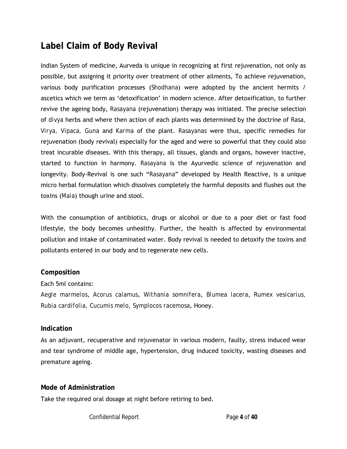# **Label Claim of Body Revival**

Indian System of medicine, Aurveda is unique in recognizing at first rejuvenation, not only as possible, but assigning it priority over treatment of other ailments, To achieve rejuvenation, various body purification processes (*Shodhana*) were adopted by the ancient hermits / ascetics which we term as 'detoxification' in modern science. After detoxification, to further revive the ageing body, *Rasayana* (rejuvenation) therapy was initiated. The precise selection of *divya* herbs and where then action of each plants was determined by the doctrine of *Rasa, Virya, Vipaca, Guna* and *Karma* of the plant. *Rasayanas* were thus, specific remedies for rejuvenation (body revival) especially for the aged and were so powerful that they could also treat incurable diseases. With this therapy, all tissues, glands and organs, however inactive, started to function in harmony. *Rasayana* is the Ayurvedic science of rejuvenation and longevity. Body-Revival is one such "*Rasayana*" developed by Health Reactive, is a unique micro herbal formulation which dissolves completely the harmful deposits and flushes out the toxins (*Mala*) though urine and stool.

With the consumption of antibiotics, drugs or alcohol or due to a poor diet or fast food lifestyle, the body becomes unhealthy. Further, the health is affected by environmental pollution and intake of contaminated water. Body revival is needed to detoxify the toxins and pollutants entered in our body and to regenerate new cells.

#### **Composition**

#### Each 5ml contains:

*Aegle marmelos*, *Acorus calamus*, *Withania somnifera*, *Blumea lacera*, *Rumex vesicarius, Rubia cardifolia, Cucumis melo, Symplocos racemosa*, Honey.

#### **Indication**

As an adjuvant, recuperative and rejuvenator in various modern, faulty, stress induced wear and tear syndrome of middle age, hypertension, drug induced toxicity, wasting diseases and premature ageing.

**Mode of Administration**

Take the required oral dosage at night before retiring to bed.

Confidential Report **Page 4** of 40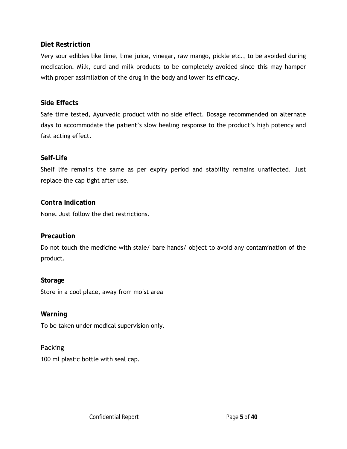#### **Diet Restriction**

Very sour edibles like lime, lime juice, vinegar, raw mango, pickle etc., to be avoided during medication. Milk, curd and milk products to be completely avoided since this may hamper with proper assimilation of the drug in the body and lower its efficacy.

#### **Side Effects**

Safe time tested, Ayurvedic product with no side effect. Dosage recommended on alternate days to accommodate the patient's slow healing response to the product's high potency and fast acting effect.

#### **Self-Life**

Shelf life remains the same as per expiry period and stability remains unaffected. Just replace the cap tight after use.

**Contra Indication** None**.** Just follow the diet restrictions.

#### **Precaution**

Do not touch the medicine with stale/ bare hands/ object to avoid any contamination of the product.

**Storage** Store in a cool place, away from moist area

**Warning** To be taken under medical supervision only.

Packing 100 ml plastic bottle with seal cap.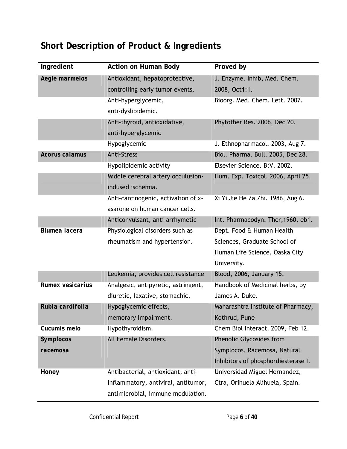# **Short Description of Product & Ingredients**

| Ingredient       | Action on Human Body                | Proved by                           |
|------------------|-------------------------------------|-------------------------------------|
| Aegle marmelos   | Antioxidant, hepatoprotective,      | J. Enzyme. Inhib, Med. Chem.        |
|                  | controlling early tumor events.     | 2008, Oct1:1.                       |
|                  | Anti-hyperglycemic,                 | Bioorg. Med. Chem. Lett. 2007.      |
|                  | anti-dyslipidemic.                  |                                     |
|                  | Anti-thyroid, antioxidative,        | Phytother Res. 2006, Dec 20.        |
|                  | anti-hyperglycemic                  |                                     |
|                  | Hypoglycemic                        | J. Ethnopharmacol. 2003, Aug 7.     |
| Acorus calamus   | <b>Anti-Stress</b>                  | Biol. Pharma. Bull. 2005, Dec 28.   |
|                  | Hypolipidemic activity              | Elsevier Science. B:V. 2002.        |
|                  | Middle cerebral artery occulusion-  | Hum. Exp. Toxicol. 2006, April 25.  |
|                  | indused ischemia.                   |                                     |
|                  | Anti-carcinogenic, activation of x- | Xi Yi Jie He Za Zhi. 1986, Aug 6.   |
|                  | asarone on human cancer cells.      |                                     |
|                  | Anticonvulsant, anti-arrhymetic     | Int. Pharmacodyn. Ther, 1960, eb1.  |
| Blumea lacera    | Physiological disorders such as     | Dept. Food & Human Health           |
|                  | rheumatism and hypertension.        | Sciences, Graduate School of        |
|                  |                                     | Human Life Science, Oaska City      |
|                  |                                     | University.                         |
|                  | Leukemia, provides cell resistance  | Blood, 2006, January 15.            |
| Rumex vesicarius | Analgesic, antipyretic, astringent, | Handbook of Medicinal herbs, by     |
|                  | diuretic, laxative, stomachic.      | James A. Duke.                      |
| Rubia cardifolia | Hypoglycemic effects,               | Maharashtra Institute of Pharmacy,  |
|                  | memorary Impairment.                | Kothrud, Pune                       |
| Cucumis melo     | Hypothyroidism.                     | Chem Biol Interact. 2009, Feb 12.   |
| Symplocos        | All Female Disorders.               | Phenolic Glycosides from            |
| racemosa         |                                     | Symplocos, Racemosa, Natural        |
|                  |                                     | Inhibitors of phosphordiesterase I. |
| Honey            | Antibacterial, antioxidant, anti-   | Universidad Miguel Hernandez,       |
|                  | inflammatory, antiviral, antitumor, | Ctra, Orihuela Alihuela, Spain.     |
|                  | antimicrobial, immune modulation.   |                                     |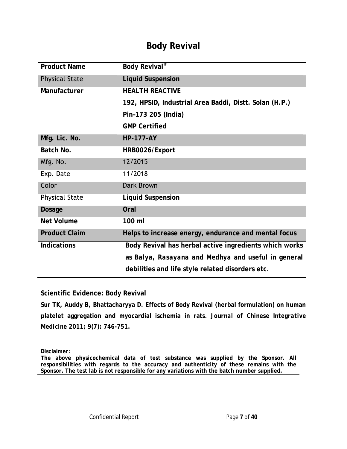### **Body Revival**

| <b>Product Name</b>   | Body Revival <sup>®</sup>                              |
|-----------------------|--------------------------------------------------------|
| <b>Physical State</b> | <b>Liquid Suspension</b>                               |
| Manufacturer          | <b>HEALTH REACTIVE</b>                                 |
|                       | 192, HPSID, Industrial Area Baddi, Distt. Solan (H.P.) |
|                       | Pin-173 205 (India)                                    |
|                       | <b>GMP Certified</b>                                   |
| Mfg. Lic. No.         | <b>HP-177-AY</b>                                       |
| Batch No.             | HRB0026/Export                                         |
| Mfg. No.              | 12/2015                                                |
| Exp. Date             | 11/2018                                                |
| Color                 | Dark Brown                                             |
| <b>Physical State</b> | <b>Liquid Suspension</b>                               |
| Dosage                | Oral                                                   |
| Net Volume            | 100 ml                                                 |
| <b>Product Claim</b>  | Helps to increase energy, endurance and mental focus   |
| Indications           | Body Revival has herbal active ingredients which works |
|                       | as Balya, Rasayana and Medhya and useful in general    |
|                       | debilities and life style related disorders etc.       |

**Scientific Evidence: Body Revival**

**Sur TK, Auddy B, Bhattacharyya D. Effects of Body Revival (herbal formulation) on human platelet aggregation and myocardial ischemia in rats.** *Journal of Chinese Integrative Medicine* **2011; 9(7): 746-751.** 

**Disclaimer:**

**The above physicochemical data of test substance was supplied by the Sponsor. All responsibilities with regards to the accuracy and authenticity of these remains with the Sponsor. The test lab is not responsible for any variations with the batch number supplied.**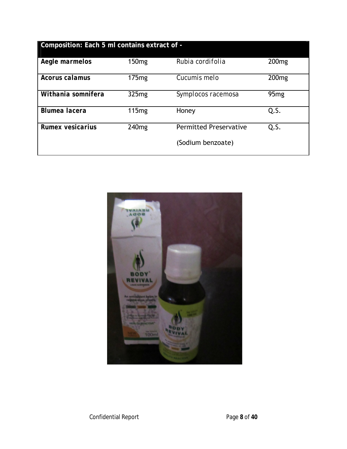| Composition: Each 5 ml contains extract of - |                   |                               |                   |
|----------------------------------------------|-------------------|-------------------------------|-------------------|
| Aegle marmelos                               | 150 <sub>mg</sub> | Rubia cordifolia              | 200 <sub>mg</sub> |
| Acorus calamus                               | 175mg             | Cucumis melo                  | 200 <sub>mg</sub> |
| Withania somnifera                           | 325mg             | Symplocos racemosa            | 95 <sub>mg</sub>  |
| Blumea lacera                                | 115mg             | Honey                         | Q.S.              |
| Rumex vesicarius                             | 240 <sub>mg</sub> | <b>Permitted Preservative</b> | Q.S.              |
|                                              |                   | (Sodium benzoate)             |                   |

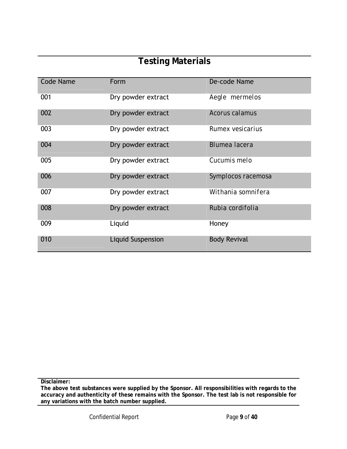# **Testing Materials**

| <b>Code Name</b> | Form                     | De-code Name         |
|------------------|--------------------------|----------------------|
| 001              | Dry powder extract       | Aegle mermelos       |
| 002              | Dry powder extract       | Acorus calamus       |
| 003              | Dry powder extract       | Rumex vesicarius     |
| 004              | Dry powder extract       | <b>Blumea lacera</b> |
| 005              | Dry powder extract       | Cucumis melo         |
| 006              | Dry powder extract       | Symplocos racemosa   |
| 007              | Dry powder extract       | Withania somnifera   |
| 008              | Dry powder extract       | Rubia cordifolia     |
| 009              | Liquid                   | Honey                |
| 010              | <b>Liquid Suspension</b> | <b>Body Revival</b>  |

**Disclaimer:**

**The above test substances were supplied by the Sponsor. All responsibilities with regards to the accuracy and authenticity of these remains with the Sponsor. The test lab is not responsible for any variations with the batch number supplied.**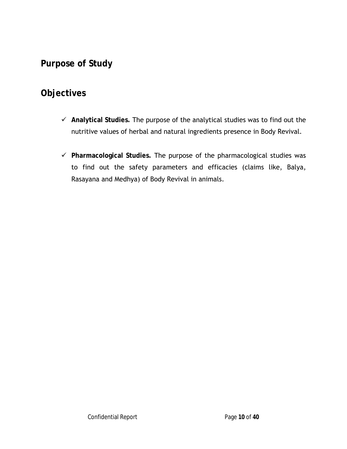**Purpose of Study** 

## **Objectives**

- **Analytical Studies.** The purpose of the analytical studies was to find out the nutritive values of herbal and natural ingredients presence in Body Revival.
- **Pharmacological Studies.** The purpose of the pharmacological studies was to find out the safety parameters and efficacies (claims like, Balya, Rasayana and Medhya) of Body Revival in animals.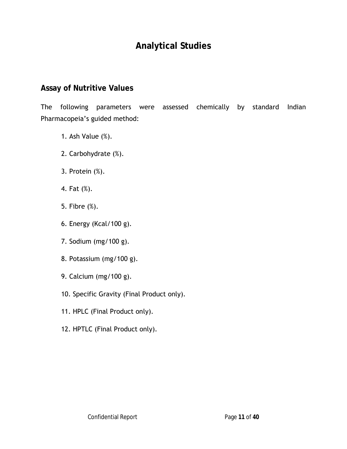# **Analytical Studies**

#### **Assay of Nutritive Values**

The following parameters were assessed chemically by standard Indian Pharmacopeia's guided method:

- 1. Ash Value (%).
- 2. Carbohydrate (%).
- 3. Protein (%).
- 4. Fat (%).
- 5. Fibre (%).
- 6. Energy (Kcal/100 g).
- 7. Sodium (mg/100 g).
- 8. Potassium (mg/100 g).
- 9. Calcium (mg/100 g).
- 10. Specific Gravity (Final Product only).
- 11. HPLC (Final Product only).
- 12. HPTLC (Final Product only).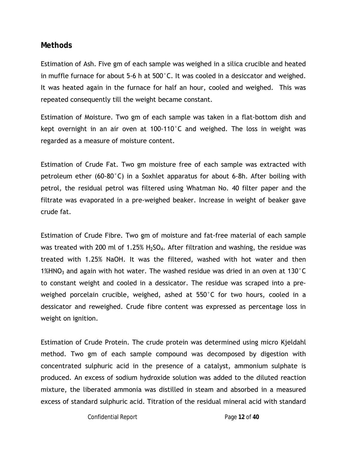#### **Methods**

Estimation of Ash. Five gm of each sample was weighed in a silica crucible and heated in muffle furnace for about 5-6 h at 500°C. It was cooled in a desiccator and weighed. It was heated again in the furnace for half an hour, cooled and weighed. This was repeated consequently till the weight became constant.

Estimation of Moisture. Two gm of each sample was taken in a flat-bottom dish and kept overnight in an air oven at 100-110°C and weighed. The loss in weight was regarded as a measure of moisture content.

Estimation of Crude Fat. Two gm moisture free of each sample was extracted with petroleum ether (60-80°C) in a Soxhlet apparatus for about 6-8h. After boiling with petrol, the residual petrol was filtered using Whatman No. 40 filter paper and the filtrate was evaporated in a pre-weighed beaker. Increase in weight of beaker gave crude fat.

Estimation of Crude Fibre. Two gm of moisture and fat-free material of each sample was treated with 200 ml of 1.25%  $H<sub>2</sub>SO<sub>4</sub>$ . After filtration and washing, the residue was treated with 1.25% NaOH. It was the filtered, washed with hot water and then 1%HNO<sub>3</sub> and again with hot water. The washed residue was dried in an oven at 130 $^{\circ}$ C to constant weight and cooled in a dessicator. The residue was scraped into a preweighed porcelain crucible, weighed, ashed at 550°C for two hours, cooled in a dessicator and reweighed. Crude fibre content was expressed as percentage loss in weight on ignition.

Estimation of Crude Protein. The crude protein was determined using micro Kjeldahl method. Two gm of each sample compound was decomposed by digestion with concentrated sulphuric acid in the presence of a catalyst, ammonium sulphate is produced. An excess of sodium hydroxide solution was added to the diluted reaction mixture, the liberated ammonia was distilled in steam and absorbed in a measured excess of standard sulphuric acid. Titration of the residual mineral acid with standard

Confidential Report Page **12** of **40**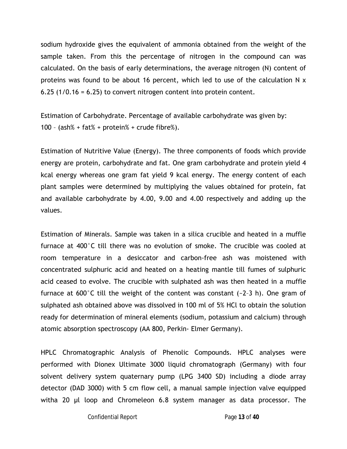sodium hydroxide gives the equivalent of ammonia obtained from the weight of the sample taken. From this the percentage of nitrogen in the compound can was calculated. On the basis of early determinations, the average nitrogen (N) content of proteins was found to be about 16 percent, which led to use of the calculation N x 6.25 (1/0.16 = 6.25) to convert nitrogen content into protein content.

Estimation of Carbohydrate. Percentage of available carbohydrate was given by: 100 - (ash% + fat% + protein% + crude fibre%).

Estimation of Nutritive Value (Energy). The three components of foods which provide energy are protein, carbohydrate and fat. One gram carbohydrate and protein yield 4 kcal energy whereas one gram fat yield 9 kcal energy. The energy content of each plant samples were determined by multiplying the values obtained for protein, fat and available carbohydrate by 4.00, 9.00 and 4.00 respectively and adding up the values.

Estimation of Minerals. Sample was taken in a silica crucible and heated in a muffle furnace at 400°C till there was no evolution of smoke. The crucible was cooled at room temperature in a desiccator and carbon-free ash was moistened with concentrated sulphuric acid and heated on a heating mantle till fumes of sulphuric acid ceased to evolve. The crucible with sulphated ash was then heated in a muffle furnace at 600°C till the weight of the content was constant (~2–3 h). One gram of sulphated ash obtained above was dissolved in 100 ml of 5% HCl to obtain the solution ready for determination of mineral elements (sodium, potassium and calcium) through atomic absorption spectroscopy (AA 800, Perkin- Elmer Germany).

HPLC Chromatographic Analysis of Phenolic Compounds. HPLC analyses were performed with Dionex Ultimate 3000 liquid chromatograph (Germany) with four solvent delivery system quaternary pump (LPG 3400 SD) including a diode array detector (DAD 3000) with 5 cm flow cell, a manual sample injection valve equipped witha 20 µl loop and Chromeleon 6.8 system manager as data processor. The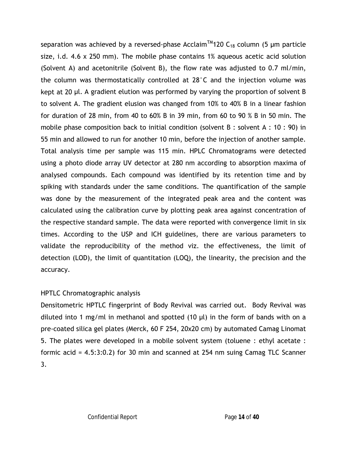separation was achieved by a reversed-phase Acclaim<sup>TM</sup>120 C<sub>18</sub> column (5 µm particle size, i.d. 4.6 x 250 mm). The mobile phase contains 1% aqueous acetic acid solution (Solvent A) and acetonitrile (Solvent B), the flow rate was adjusted to 0.7 ml/min, the column was thermostatically controlled at 28°C and the injection volume was kept at 20 μl. A gradient elution was performed by varying the proportion of solvent B to solvent A. The gradient elusion was changed from 10% to 40% B in a linear fashion for duration of 28 min, from 40 to 60% B in 39 min, from 60 to 90 % B in 50 min. The mobile phase composition back to initial condition (solvent B : solvent A : 10 : 90) in 55 min and allowed to run for another 10 min, before the injection of another sample. Total analysis time per sample was 115 min. HPLC Chromatograms were detected using a photo diode array UV detector at 280 nm according to absorption maxima of analysed compounds. Each compound was identified by its retention time and by spiking with standards under the same conditions. The quantification of the sample was done by the measurement of the integrated peak area and the content was calculated using the calibration curve by plotting peak area against concentration of the respective standard sample. The data were reported with convergence limit in six times. According to the USP and ICH guidelines, there are various parameters to validate the reproducibility of the method viz. the effectiveness, the limit of detection (LOD), the limit of quantitation (LOQ), the linearity, the precision and the accuracy.

#### HPTLC Chromatographic analysis

Densitometric HPTLC fingerprint of Body Revival was carried out. Body Revival was diluted into 1 mg/ml in methanol and spotted (10  $\mu$ l) in the form of bands with on a pre-coated silica gel plates (Merck, 60 F 254, 20x20 cm) by automated Camag Linomat 5. The plates were developed in a mobile solvent system (toluene : ethyl acetate : formic acid = 4.5:3:0.2) for 30 min and scanned at 254 nm suing Camag TLC Scanner 3.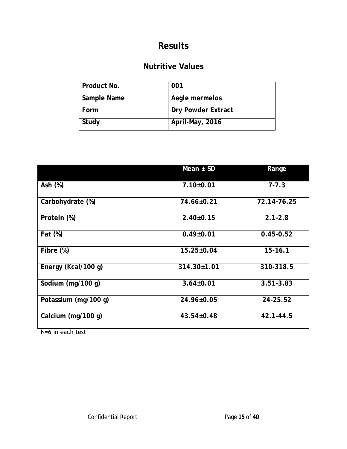### **Nutritive Values**

| Product No. | 001                |
|-------------|--------------------|
| Sample Name | Aegle mermelos     |
| Form        | Dry Powder Extract |
| Study       | April-May, 2016    |

|                      | Mean $\pm$ SD     | Range         |
|----------------------|-------------------|---------------|
| Ash $(%)$            | $7.10 \pm 0.01$   | $7 - 7.3$     |
| Carbohydrate (%)     | 74.66±0.21        | 72.14-76.25   |
| Protein (%)          | $2.40 \pm 0.15$   | $2.1 - 2.8$   |
| Fat (%)              | $0.49 \pm 0.01$   | $0.45 - 0.52$ |
| Fibre $(\%)$         | $15.25 \pm 0.04$  | $15 - 16.1$   |
| Energy (Kcal/100 g)  | $314.30 \pm 1.01$ | 310-318.5     |
| Sodium (mg/100 g)    | $3.64 \pm 0.01$   | $3.51 - 3.83$ |
| Potassium (mg/100 g) | 24.96±0.05        | 24-25.52      |
| Calcium (mg/100 g)   | $43.54 \pm 0.48$  | $42.1 - 44.5$ |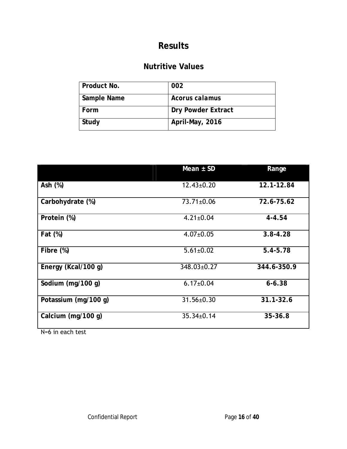### **Nutritive Values**

| Product No. | 002                |
|-------------|--------------------|
| Sample Name | Acorus calamus     |
| Form        | Dry Powder Extract |
| Study       | April-May, 2016    |

|                      | Mean $\pm$ SD    | Range         |
|----------------------|------------------|---------------|
| Ash $(%)$            | $12.43 \pm 0.20$ | 12.1-12.84    |
| Carbohydrate (%)     | 73.71±0.06       | 72.6-75.62    |
| Protein (%)          | $4.21 \pm 0.04$  | $4 - 4.54$    |
| Fat (%)              | $4.07 \pm 0.05$  | $3.8 - 4.28$  |
| Fibre $(\%)$         | $5.61 \pm 0.02$  | $5.4 - 5.78$  |
| Energy (Kcal/100 g)  | 348.03±0.27      | 344.6-350.9   |
| Sodium (mg/100 g)    | $6.17 \pm 0.04$  | $6 - 6.38$    |
| Potassium (mg/100 g) | $31.56 \pm 0.30$ | $31.1 - 32.6$ |
| Calcium (mg/100 g)   | $35.34 \pm 0.14$ | $35 - 36.8$   |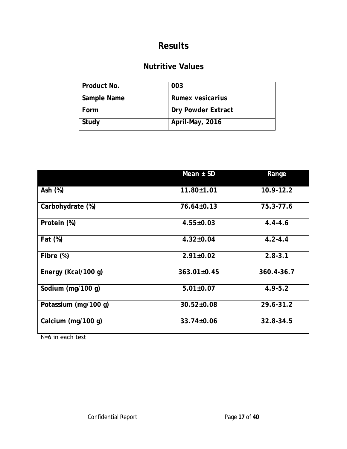### **Nutritive Values**

| Product No. | 003                |
|-------------|--------------------|
| Sample Name | Rumex vesicarius   |
| Form        | Dry Powder Extract |
| Study       | April-May, 2016    |

|                                          | Mean $\pm$ SD     | Range         |
|------------------------------------------|-------------------|---------------|
| Ash $(%)$                                | $11.80 \pm 1.01$  | $10.9 - 12.2$ |
| Carbohydrate (%)                         | $76.64 \pm 0.13$  | 75.3-77.6     |
| Protein (%)                              | $4.55 \pm 0.03$   | $4.4 - 4.6$   |
| Fat (%)                                  | $4.32 \pm 0.04$   | $4.2 - 4.4$   |
| Fibre $(\%)$                             | $2.91 \pm 0.02$   | $2.8 - 3.1$   |
| Energy (Kcal/100 g)                      | $363.01 \pm 0.45$ | 360.4-36.7    |
| Sodium (mg/100 g)                        | $5.01 \pm 0.07$   | $4.9 - 5.2$   |
| Potassium (mg/100 g)                     | $30.52 \pm 0.08$  | 29.6-31.2     |
| Calcium (mg/100 g)<br>$N-A$ in oach tost | $33.74 \pm 0.06$  | $32.8 - 34.5$ |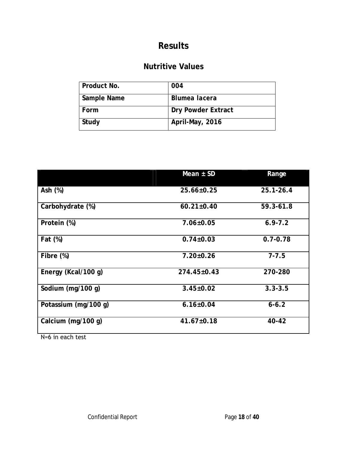### **Nutritive Values**

| Product No. | 004                |
|-------------|--------------------|
| Sample Name | Blumea lacera      |
| Form        | Dry Powder Extract |
| Study       | April-May, 2016    |

|                                            | Mean $\pm$ SD     | Range         |
|--------------------------------------------|-------------------|---------------|
| Ash $(%)$                                  | $25.66 \pm 0.25$  | $25.1 - 26.4$ |
| Carbohydrate (%)                           | $60.21 \pm 0.40$  | 59.3-61.8     |
| Protein (%)                                | $7.06 \pm 0.05$   | $6.9 - 7.2$   |
| Fat (%)                                    | $0.74 \pm 0.03$   | $0.7 - 0.78$  |
| Fibre (%)                                  | $7.20 \pm 0.26$   | $7 - 7.5$     |
| Energy (Kcal/100 g)                        | $274.45 \pm 0.43$ | 270-280       |
| Sodium (mg/100 g)                          | $3.45 \pm 0.02$   | $3.3 - 3.5$   |
| Potassium (mg/100 g)                       | $6.16 \pm 0.04$   | $6 - 6.2$     |
| Calcium (mg/100 g)<br>$N_{-}$ in oach tost | $41.67 \pm 0.18$  | 40-42         |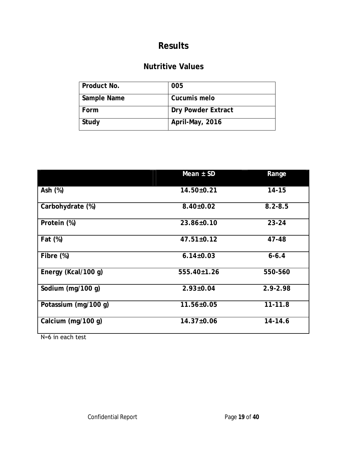### **Nutritive Values**

| Product No. | 005                |
|-------------|--------------------|
|             |                    |
| Sample Name | Cucumis melo       |
|             |                    |
| Form        | Dry Powder Extract |
|             |                    |
| Study       | April-May, 2016    |
|             |                    |
|             |                    |

|                                          | Mean $\pm$ SD     | Range        |
|------------------------------------------|-------------------|--------------|
| Ash $(%)$                                | $14.50 \pm 0.21$  | $14 - 15$    |
| Carbohydrate (%)                         | $8.40 \pm 0.02$   | $8.2 - 8.5$  |
| Protein (%)                              | $23.86 \pm 0.10$  | $23 - 24$    |
| Fat (%)                                  | $47.51 \pm 0.12$  | 47-48        |
| Fibre $(\%)$                             | $6.14 \pm 0.03$   | $6 - 6.4$    |
| Energy (Kcal/100 g)                      | $555.40 \pm 1.26$ | 550-560      |
| Sodium (mg/100 g)                        | $2.93 \pm 0.04$   | $2.9 - 2.98$ |
| Potassium (mg/100 g)                     | $11.56 \pm 0.05$  | $11 - 11.8$  |
| Calcium (mg/100 g)<br>$N-A$ in oach tost | $14.37 \pm 0.06$  | 14-14.6      |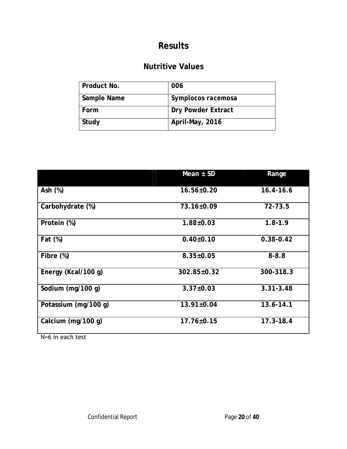### **Nutritive Values**

| Product No. | 006                |
|-------------|--------------------|
| Sample Name | Symplocos racemosa |
| Form        | Dry Powder Extract |
| Study       | April-May, 2016    |

|                   | $16.4 - 16.6$    |
|-------------------|------------------|
| 73.16±0.09        | 72-73.5          |
| $1.88 \pm 0.03$   | $1.8 - 1.9$      |
| $0.40{\pm}0.10$   | $0.38 - 0.42$    |
| $8.35 \pm 0.05$   | $8 - 8.8$        |
| $302.85 \pm 0.32$ | 300-318.3        |
| $3.37 \pm 0.03$   | $3.31 - 3.48$    |
| $13.91 \pm 0.04$  | 13.6-14.1        |
| $17.76 \pm 0.15$  | $17.3 - 18.4$    |
|                   | $16.56 \pm 0.20$ |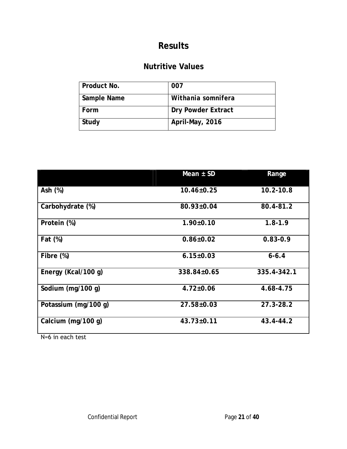### **Nutritive Values**

| Product No. | 007                |
|-------------|--------------------|
| Sample Name | Withania somnifera |
| Form        | Dry Powder Extract |
| Study       | April-May, 2016    |

|                                          | Mean $\pm$ SD     | Range         |
|------------------------------------------|-------------------|---------------|
| Ash $(%)$                                | $10.46 \pm 0.25$  | $10.2 - 10.8$ |
| Carbohydrate (%)                         | 80.93±0.04        | 80.4-81.2     |
| Protein (%)                              | $1.90 \pm 0.10$   | $1.8 - 1.9$   |
| Fat (%)                                  | $0.86 \pm 0.02$   | $0.83 - 0.9$  |
| Fibre $(\%)$                             | $6.15 \pm 0.03$   | $6 - 6.4$     |
| Energy (Kcal/100 g)                      | $338.84 \pm 0.65$ | 335.4-342.1   |
| Sodium (mg/100 g)                        | $4.72 \pm 0.06$   | 4.68-4.75     |
| Potassium (mg/100 g)                     | 27.58±0.03        | $27.3 - 28.2$ |
| Calcium (mg/100 g)<br>$N-A$ in oach tost | $43.73 \pm 0.11$  | 43.4-44.2     |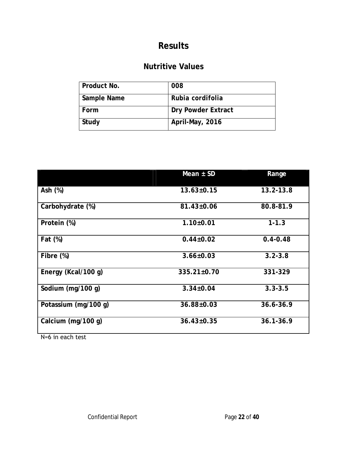### **Nutritive Values**

| Product No. | 008                |
|-------------|--------------------|
| Sample Name | Rubia cordifolia   |
| Form        | Dry Powder Extract |
| Study       | April-May, 2016    |

| Ash $(%)$<br>$13.2 - 13.8$<br>$13.63 \pm 0.15$<br>80.8-81.9<br>Carbohydrate (%)<br>81.43±0.06<br>Protein (%)<br>$1.10+0.01$<br>$1 - 1.3$<br>Fat (%)<br>$0.4 - 0.48$<br>$0.44 \pm 0.02$<br>$3.2 - 3.8$<br>Fibre $(\%)$<br>$3.66 \pm 0.03$<br>Energy (Kcal/100 g)<br>$335.21 \pm 0.70$<br>331-329 | Mean $\pm$ SD | Range |
|-------------------------------------------------------------------------------------------------------------------------------------------------------------------------------------------------------------------------------------------------------------------------------------------------|---------------|-------|
|                                                                                                                                                                                                                                                                                                 |               |       |
|                                                                                                                                                                                                                                                                                                 |               |       |
|                                                                                                                                                                                                                                                                                                 |               |       |
|                                                                                                                                                                                                                                                                                                 |               |       |
|                                                                                                                                                                                                                                                                                                 |               |       |
|                                                                                                                                                                                                                                                                                                 |               |       |
| Sodium (mg/100 g)<br>$3.34 \pm 0.04$<br>$3.3 - 3.5$                                                                                                                                                                                                                                             |               |       |
| Potassium (mg/100 g)<br>36.88±0.03<br>$36.6 - 36.9$                                                                                                                                                                                                                                             |               |       |
| $36.1 - 36.9$<br>Calcium (mg/100 g)<br>$36.43 \pm 0.35$                                                                                                                                                                                                                                         |               |       |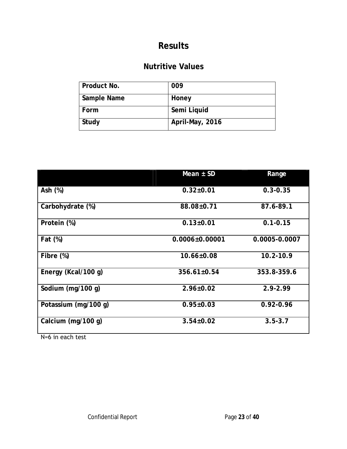### **Nutritive Values**

| Product No. | 009             |
|-------------|-----------------|
| Sample Name | Honey           |
| Form        | Semi Liquid     |
| Study       | April-May, 2016 |

| Mean $\pm$ SD        | Range         |
|----------------------|---------------|
| $0.32 \pm 0.01$      | $0.3 - 0.35$  |
| 88.08±0.71           | 87.6-89.1     |
| $0.13 \pm 0.01$      | $0.1 - 0.15$  |
| $0.0006 \pm 0.00001$ | 0.0005-0.0007 |
| $10.66 \pm 0.08$     | $10.2 - 10.9$ |
| $356.61 \pm 0.54$    | 353.8-359.6   |
| $2.96 \pm 0.02$      | $2.9 - 2.99$  |
| $0.95 \pm 0.03$      | $0.92 - 0.96$ |
| $3.54 \pm 0.02$      | $3.5 - 3.7$   |
|                      |               |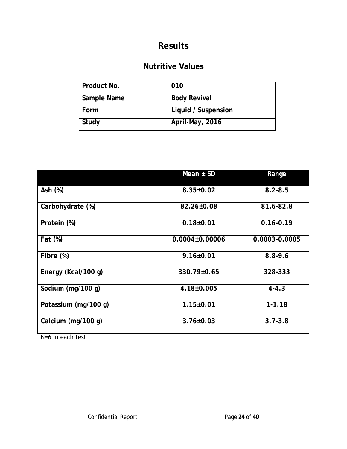### **Nutritive Values**

| Product No. | 010                 |
|-------------|---------------------|
| Sample Name | <b>Body Revival</b> |
| Form        | Liquid / Suspension |
| Study       | April-May, 2016     |

| $8.35 \pm 0.02$<br>82.26±0.08 | $8.2 - 8.5$<br>81.6-82.8 |
|-------------------------------|--------------------------|
|                               |                          |
|                               |                          |
|                               | $0.16 - 0.19$            |
| $0.0004 \pm 0.00006$          | 0.0003-0.0005            |
| $9.16 \pm 0.01$               | $8.8 - 9.6$              |
| 330.79±0.65                   | 328-333                  |
| $4.18 \pm 0.005$              | $4 - 4.3$                |
| $1.15 \pm 0.01$               | $1 - 1.18$               |
| $3.76 \pm 0.03$               | $3.7 - 3.8$              |
|                               | $0.18{\pm}0.01$          |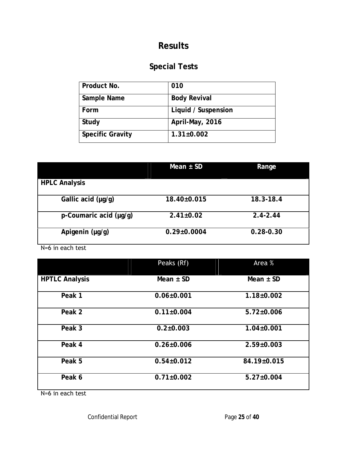# **Special Tests**

| Product No.             | 010                 |
|-------------------------|---------------------|
| Sample Name             | <b>Body Revival</b> |
| Form                    | Liquid / Suspension |
| Study                   | April-May, 2016     |
| <b>Specific Gravity</b> | $1.31 \pm 0.002$    |

|                        | Mean $\pm$ SD     | Range         |
|------------------------|-------------------|---------------|
| <b>HPLC Analysis</b>   |                   |               |
| Gallic acid (µg/g)     | $18.40 \pm 0.015$ | $18.3 - 18.4$ |
| p-Coumaric acid (µg/g) | $2.41 \pm 0.02$   | $2.4 - 2.44$  |
| Apigenin (µg/g)        | $0.29 \pm 0.0004$ | $0.28 - 0.30$ |

N=6 in each test

|                       | Peaks (Rf)       | Area %           |
|-----------------------|------------------|------------------|
| <b>HPTLC Analysis</b> | Mean $\pm$ SD    | Mean $\pm$ SD    |
| Peak 1                | $0.06 \pm 0.001$ | $1.18 \pm 0.002$ |
| Peak 2                | $0.11 \pm 0.004$ | $5.72 \pm 0.006$ |
| Peak 3                | $0.2 \pm 0.003$  | $1.04 \pm 0.001$ |
| Peak 4                | $0.26 \pm 0.006$ | $2.59 \pm 0.003$ |
| Peak 5                | $0.54 \pm 0.012$ | 84.19±0.015      |
| Peak 6                | $0.71 \pm 0.002$ | $5.27 \pm 0.004$ |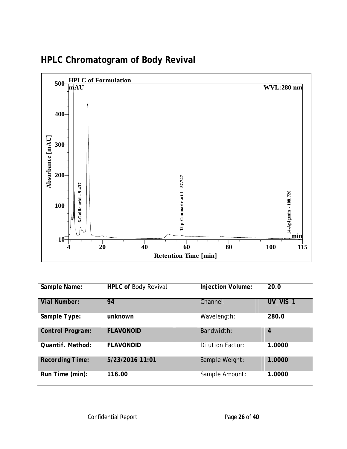

# **HPLC Chromatogram of Body Revival**

| Sample Name:     | HPLC of Body Revival | Injection Volume: | 20.0           |
|------------------|----------------------|-------------------|----------------|
| Vial Number:     | 94                   | Channel:          | UV_VIS_1       |
| Sample Type:     | unknown              | Wavelength:       | 280.0          |
| Control Program: | <b>FLAVONOID</b>     | Bandwidth:        | $\overline{4}$ |
| Quantif. Method: | <b>FLAVONOID</b>     | Dilution Factor:  | 1.0000         |
| Recording Time:  | 5/23/2016 11:01      | Sample Weight:    | 1.0000         |
| Run Time (min):  | 116.00               | Sample Amount:    | 1.0000         |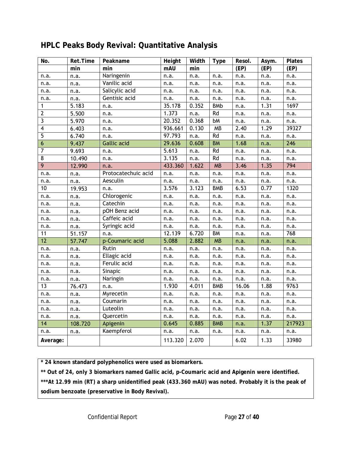| No.                     | Ret.Time | Peakname            | Height  | Width | Type       | Resol. | Asym. | Plates |
|-------------------------|----------|---------------------|---------|-------|------------|--------|-------|--------|
|                         | min      | min                 | mAU     | min   |            | (EP)   | (EP)  | (EP)   |
| n.a.                    | n.a.     | Naringenin          | n.a.    | n.a.  | n.a.       | n.a.   | n.a.  | n.a.   |
| n.a.                    | n.a.     | Vanilic acid        | n.a.    | n.a.  | n.a.       | n.a.   | n.a.  | n.a.   |
| n.a.                    | n.a.     | Salicylic acid      | n.a.    | n.a.  | n.a.       | n.a.   | n.a.  | n.a.   |
| n.a.                    | n.a.     | Gentisic acid       | n.a.    | n.a.  | n.a.       | n.a.   | n.a.  | n.a.   |
| 1                       | 5.183    | n.a.                | 35.178  | 0.352 | <b>BMb</b> | n.a.   | 1.31  | 1697   |
| $\mathbf{2}$            | 5.500    | n.a.                | 1.373   | n.a.  | Rd         | n.a.   | n.a.  | n.a.   |
| 3                       | 5.970    | n.a.                | 20.352  | 0.368 | bM         | n.a.   | n.a.  | n.a.   |
| $\overline{\mathbf{4}}$ | 6.403    | n.a.                | 936.661 | 0.130 | MB         | 2.40   | 1.29  | 39327  |
| 5                       | 6.740    | n.a.                | 97.793  | n.a.  | Rd         | n.a.   | n.a.  | n.a.   |
| $\boldsymbol{6}$        | 9.437    | <b>Gallic acid</b>  | 29.636  | 0.608 | <b>BM</b>  | 1.68   | n.a.  | 246    |
| 7                       | 9.693    | n.a.                | 5.613   | n.a.  | Rd         | n.a.   | n.a.  | n.a.   |
| $\overline{8}$          | 10.490   | n.a.                | 3.135   | n.a.  | Rd         | n.a.   | n.a.  | n.a.   |
| 9                       | 12.990   | n.a.                | 433.360 | 1.622 | <b>MB</b>  | 3.46   | 1.35  | 794    |
| n.a.                    | n.a.     | Protocatechuic acid | n.a.    | n.a.  | n.a.       | n.a.   | n.a.  | n.a.   |
| n.a.                    | n.a.     | Aesculin            | n.a.    | n.a.  | n.a.       | n.a.   | n.a.  | n.a.   |
| 10                      | 19.953   | n.a.                | 3.576   | 3.123 | <b>BMB</b> | 6.53   | 0.77  | 1320   |
| n.a.                    | n.a.     | Chlorogenic         | n.a.    | n.a.  | n.a.       | n.a.   | n.a.  | n.a.   |
| n.a.                    | n.a.     | Catechin            | n.a.    | n.a.  | n.a.       | n.a.   | n.a.  | n.a.   |
| n.a.                    | n.a.     | pOH Benz acid       | n.a.    | n.a.  | n.a.       | n.a.   | n.a.  | n.a.   |
| n.a.                    | n.a.     | Caffeic acid        | n.a.    | n.a.  | n.a.       | n.a.   | n.a.  | n.a.   |
| n.a.                    | n.a.     | Syringic acid       | n.a.    | n.a.  | n.a.       | n.a.   | n.a.  | n.a.   |
| 11                      | 51.157   | n.a.                | 12.139  | 6.720 | BM         | n.a.   | n.a.  | 768    |
| 12                      | 57.747   | p-Coumaric acid     | 5.088   | 2.882 | <b>MB</b>  | n.a.   | n.a.  | n.a.   |
| n.a.                    | n.a.     | Rutin               | n.a.    | n.a.  | n.a.       | n.a.   | n.a.  | n.a.   |
| n.a.                    | n.a.     | Ellagic acid        | n.a.    | n.a.  | n.a.       | n.a.   | n.a.  | n.a.   |
| n.a.                    | n.a.     | Ferulic acid        | n.a.    | n.a.  | n.a.       | n.a.   | n.a.  | n.a.   |
| n.a.                    | n.a.     | Sinapic             | n.a.    | n.a.  | n.a.       | n.a.   | n.a.  | n.a.   |
| n.a.                    | n.a.     | Naringin            | n.a.    | n.a.  | n.a.       | n.a.   | n.a.  | n.a.   |
| 13                      | 76.473   | n.a.                | 1.930   | 4.011 | <b>BMB</b> | 16.06  | 1.88  | 9763   |
| n.a.                    | n.a.     | Myrecetin           | n.a.    | n.a.  | n.a.       | n.a.   | n.a.  | n.a.   |
| n.a.                    | n.a.     | Coumarin            | n.a.    | n.a.  | n.a.       | n.a.   | n.a.  | n.a.   |
| n.a.                    | n.a.     | Luteolin            | n.a.    | n.a.  | n.a.       | n.a.   | n.a.  | n.a.   |
| n.a.                    | n.a.     | Quercetin           | n.a.    | n.a.  | n.a.       | n.a.   | n.a.  | n.a.   |
| 14                      | 108.720  | Apigenin            | 0.645   | 0.885 | <b>BMB</b> | n.a.   | 1.37  | 217923 |
| n.a.                    | n.a.     | Kaempferol          | n.a.    | n.a.  | n.a.       | n.a.   | n.a.  | n.a.   |
| Average:                |          |                     | 113.320 | 2.070 |            | 6.02   | 1.33  | 33980  |

### **HPLC Peaks Body Revival: Quantitative Analysis**

**\* 24 known standard polyphenolics were used as biomarkers.**

**\*\* Out of 24, only 3 biomarkers named Gallic acid, p-Coumaric acid and Apigenin were identified.**

**\*\*\*At 12.99 min (RT) a sharp unidentified peak (433.360 mAU) was noted. Probably it is the peak of sodium benzoate (preservative in Body Revival).**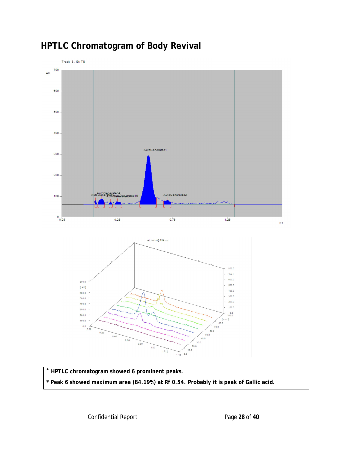

# **HPTLC Chromatogram of Body Revival**

\* **HPTLC chromatogram showed 6 prominent peaks. \* Peak 6 showed maximum area (84.19%) at Rf 0.54. Probably it is peak of Gallic acid.**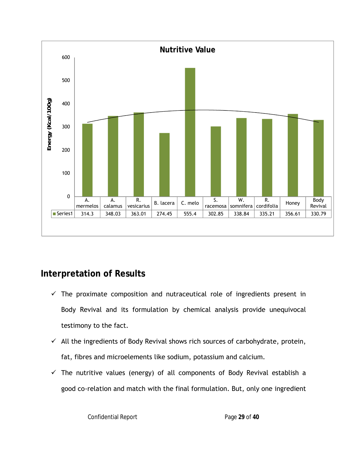

### **Interpretation of Results**

- $\checkmark$  The proximate composition and nutraceutical role of ingredients present in Body Revival and its formulation by chemical analysis provide unequivocal testimony to the fact.
- $\checkmark$  All the ingredients of Body Revival shows rich sources of carbohydrate, protein, fat, fibres and microelements like sodium, potassium and calcium.
- $\checkmark$  The nutritive values (energy) of all components of Body Revival establish a good co-relation and match with the final formulation. But, only one ingredient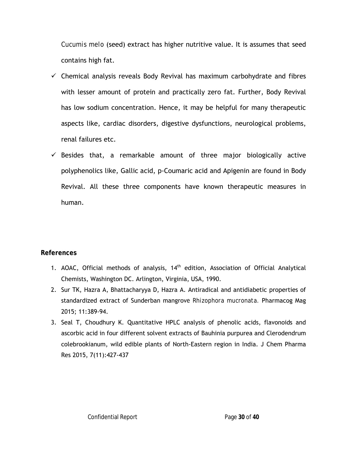*Cucumis melo* (seed) extract has higher nutritive value. It is assumes that seed contains high fat.

- $\checkmark$  Chemical analysis reveals Body Revival has maximum carbohydrate and fibres with lesser amount of protein and practically zero fat. Further, Body Revival has low sodium concentration. Hence, it may be helpful for many therapeutic aspects like, cardiac disorders, digestive dysfunctions, neurological problems, renal failures etc.
- $\checkmark$  Besides that, a remarkable amount of three major biologically active polyphenolics like, Gallic acid, p-Coumaric acid and Apigenin are found in Body Revival. All these three components have known therapeutic measures in human.

#### **References**

- 1. AOAC, Official methods of analysis, 14<sup>th</sup> edition, Association of Official Analytical Chemists, Washington DC. Arlington, Virginia, USA, 1990.
- 2. Sur TK, Hazra A, Bhattacharyya D, Hazra A. Antiradical and antidiabetic properties of standardized extract of Sunderban mangrov*e Rhizophora mucronata.* Pharmacog Mag 2015; 11:389-94.
- 3. Seal T, Choudhury K. Quantitative HPLC analysis of phenolic acids, flavonoids and ascorbic acid in four different solvent extracts of Bauhinia purpurea and Clerodendrum colebrookianum, wild edible plants of North-Eastern region in India. J Chem Pharma Res 2015, 7(11):427-437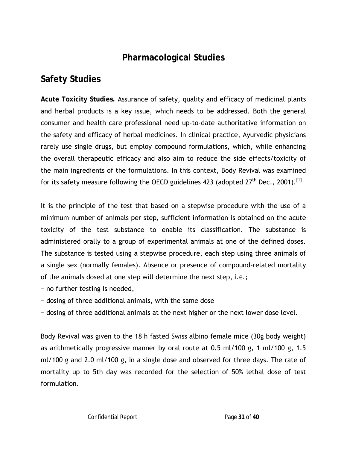### **Pharmacological Studies**

## **Safety Studies**

**Acute Toxicity Studies.** Assurance of safety, quality and efficacy of medicinal plants and herbal products is a key issue, which needs to be addressed. Both the general consumer and health care professional need up-to-date authoritative information on the safety and efficacy of herbal medicines. In clinical practice, Ayurvedic physicians rarely use single drugs, but employ compound formulations, which, while enhancing the overall therapeutic efficacy and also aim to reduce the side effects/toxicity of the main ingredients of the formulations. In this context, Body Revival was examined for its safety measure following the OECD guidelines 423 (adopted  $27<sup>th</sup>$  Dec., 2001).<sup>[1]</sup>

It is the principle of the test that based on a stepwise procedure with the use of a minimum number of animals per step, sufficient information is obtained on the acute toxicity of the test substance to enable its classification. The substance is administered orally to a group of experimental animals at one of the defined doses. The substance is tested using a stepwise procedure, each step using three animals of a single sex (normally females). Absence or presence of compound-related mortality of the animals dosed at one step will determine the next step, *i.e.*;

- − no further testing is needed,
- − dosing of three additional animals, with the same dose
- − dosing of three additional animals at the next higher or the next lower dose level.

Body Revival was given to the 18 h fasted Swiss albino female mice (30g body weight) as arithmetically progressive manner by oral route at 0.5 ml/100 g, 1 ml/100 g, 1.5 ml/100 g and 2.0 ml/100 g, in a single dose and observed for three days. The rate of mortality up to 5th day was recorded for the selection of 50% lethal dose of test formulation.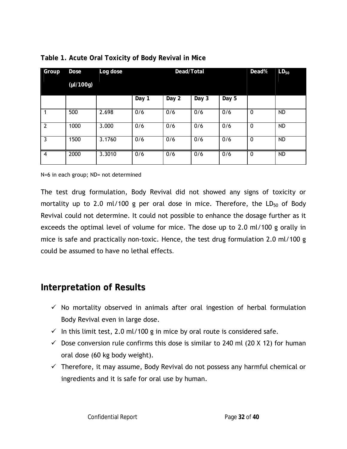| Group          | Dose           | Log dose |       | Dead/Total | Dead% | $LD_{50}$ |             |           |
|----------------|----------------|----------|-------|------------|-------|-----------|-------------|-----------|
|                | $(\mu I/100g)$ |          |       |            |       |           |             |           |
|                |                |          | Day 1 | Day 2      | Day 3 | Day 5     |             |           |
|                | 500            | 2.698    | 0/6   | 0/6        | 0/6   | 0/6       | 0           | <b>ND</b> |
| $\overline{2}$ | 1000           | 3.000    | 0/6   | 0/6        | 0/6   | 0/6       | 0           | <b>ND</b> |
| 3              | 1500           | 3.1760   | 0/6   | 0/6        | 0/6   | 0/6       | $\mathbf 0$ | <b>ND</b> |
| $\overline{4}$ | 2000           | 3.3010   | 0/6   | 0/6        | 0/6   | 0/6       | $\mathbf 0$ | <b>ND</b> |

#### **Table 1. Acute Oral Toxicity of Body Revival in Mice**

N=6 in each group; ND= not determined

The test drug formulation, Body Revival did not showed any signs of toxicity or mortality up to 2.0 ml/100 g per oral dose in mice. Therefore, the  $LD_{50}$  of Body Revival could not determine. It could not possible to enhance the dosage further as it exceeds the optimal level of volume for mice. The dose up to 2.0 ml/100 g orally in mice is safe and practically non-toxic. Hence, the test drug formulation 2.0 ml/100 g could be assumed to have no lethal effects.

#### **Interpretation of Results**

- $\checkmark$  No mortality observed in animals after oral ingestion of herbal formulation Body Revival even in large dose.
- $\checkmark$  In this limit test, 2.0 ml/100 g in mice by oral route is considered safe.
- $\checkmark$  Dose conversion rule confirms this dose is similar to 240 ml (20 X 12) for human oral dose (60 kg body weight).
- $\checkmark$  Therefore, it may assume, Body Revival do not possess any harmful chemical or ingredients and it is safe for oral use by human.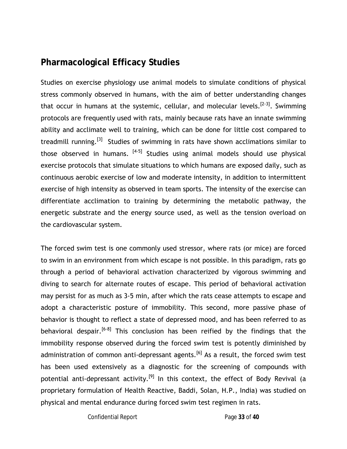### **Pharmacological Efficacy Studies**

Studies on exercise physiology use animal models to simulate conditions of physical stress commonly observed in humans, with the aim of better understanding changes that occur in humans at the systemic, cellular, and molecular levels.<sup>[2-3]</sup>. Swimming protocols are frequently used with rats, mainly because rats have an innate swimming ability and acclimate well to training, which can be done for little cost compared to treadmill running.[3] Studies of swimming in rats have shown acclimations similar to those observed in humans.  $[4-5]$  Studies using animal models should use physical exercise protocols that simulate situations to which humans are exposed daily, such as continuous aerobic exercise of low and moderate intensity, in addition to intermittent exercise of high intensity as observed in team sports. The intensity of the exercise can differentiate acclimation to training by determining the metabolic pathway, the energetic substrate and the energy source used, as well as the tension overload on the cardiovascular system.

The forced swim test is one commonly used stressor, where rats (or mice) are forced to swim in an environment from which escape is not possible. In this paradigm, rats go through a period of behavioral activation characterized by vigorous swimming and diving to search for alternate routes of escape. This period of behavioral activation may persist for as much as 3-5 min, after which the rats cease attempts to escape and adopt a characteristic posture of immobility. This second, more passive phase of behavior is thought to reflect a state of depressed mood, and has been referred to as behavioral despair.<sup>[6-8]</sup> This conclusion has been reified by the findings that the immobility response observed during the forced swim test is potently diminished by administration of common anti-depressant agents.<sup>[6]</sup> As a result, the forced swim test has been used extensively as a diagnostic for the screening of compounds with potential anti-depressant activity.<sup>[9]</sup> In this context, the effect of Body Revival (a proprietary formulation of Health Reactive, Baddi, Solan, H.P., India) was studied on physical and mental endurance during forced swim test regimen in rats.

Confidential Report Page **33** of **40**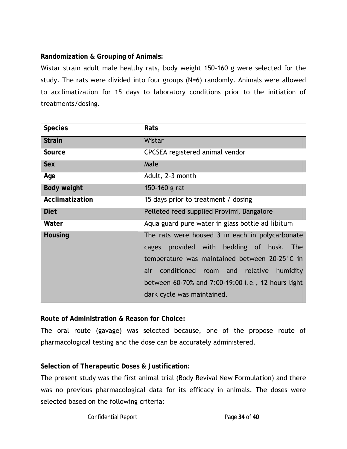**Randomization & Grouping of Animals:**

Wistar strain adult male healthy rats, body weight 150-160 g were selected for the study. The rats were divided into four groups (N=6) randomly. Animals were allowed to acclimatization for 15 days to laboratory conditions prior to the initiation of treatments/dosing.

| <b>Species</b>  | Rats                                               |
|-----------------|----------------------------------------------------|
| <b>Strain</b>   | Wistar                                             |
| Source          | CPCSEA registered animal vendor                    |
| Sex             | Male                                               |
| Age             | Adult, 2-3 month                                   |
| Body weight     | 150-160 g rat                                      |
| Acclimatization | 15 days prior to treatment / dosing                |
| <b>Diet</b>     | Pelleted feed supplied Provimi, Bangalore          |
| Water           | Aqua guard pure water in glass bottle ad libitum   |
| Housing         | The rats were housed 3 in each in polycarbonate    |
|                 | provided with bedding of husk.<br>The<br>cages     |
|                 | temperature was maintained between 20-25°C in      |
|                 | conditioned room and relative<br>humidity<br>air   |
|                 | between 60-70% and 7:00-19:00 i.e., 12 hours light |
|                 | dark cycle was maintained.                         |

**Route of Administration & Reason for Choice:**

The oral route (gavage) was selected because, one of the propose route of pharmacological testing and the dose can be accurately administered.

**Selection of Therapeutic Doses & Justification:**

The present study was the first animal trial (Body Revival New Formulation) and there was no previous pharmacological data for its efficacy in animals. The doses were selected based on the following criteria:

Confidential Report **Page 34** of 40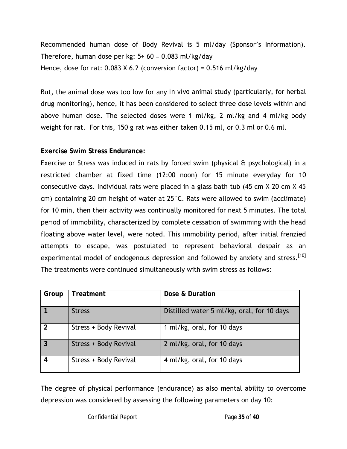Recommended human dose of Body Revival is 5 ml/day (Sponsor's Information). Therefore, human dose per kg:  $5 \div 60 = 0.083$  ml/kg/day Hence, dose for rat:  $0.083$  X 6.2 (conversion factor) =  $0.516$  ml/kg/day

But, the animal dose was too low for any *in vivo* animal study (particularly, for herbal drug monitoring), hence, it has been considered to select three dose levels within and above human dose. The selected doses were 1 ml/kg, 2 ml/kg and 4 ml/kg body weight for rat. For this, 150 g rat was either taken 0.15 ml, or 0.3 ml or 0.6 ml.

#### **Exercise Swim Stress Endurance:**

Exercise or Stress was induced in rats by forced swim (physical & psychological) in a restricted chamber at fixed time (12:00 noon) for 15 minute everyday for 10 consecutive days. Individual rats were placed in a glass bath tub (45 cm X 20 cm X 45 cm) containing 20 cm height of water at 25°C. Rats were allowed to swim (acclimate) for 10 min, then their activity was continually monitored for next 5 minutes. The total period of immobility, characterized by complete cessation of swimming with the head floating above water level, were noted. This immobility period, after initial frenzied attempts to escape, was postulated to represent behavioral despair as an experimental model of endogenous depression and followed by anxiety and stress.<sup>[10]</sup> The treatments were continued simultaneously with swim stress as follows:

| Group         | Treatment             | Dose & Duration                            |
|---------------|-----------------------|--------------------------------------------|
|               | <b>Stress</b>         | Distilled water 5 ml/kg, oral, for 10 days |
| $\mathcal{P}$ | Stress + Body Revival | 1 ml/kg, oral, for 10 days                 |
|               | Stress + Body Revival | 2 ml/kg, oral, for 10 days                 |
| 4             | Stress + Body Revival | 4 ml/kg, oral, for 10 days                 |

The degree of physical performance (endurance) as also mental ability to overcome depression was considered by assessing the following parameters on day 10: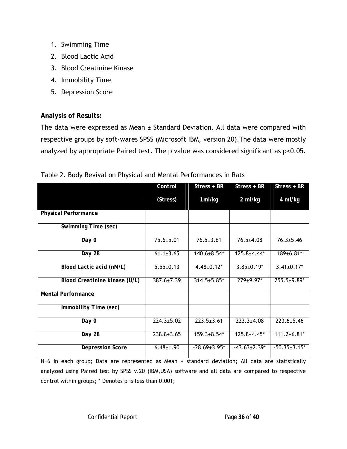- 1. Swimming Time
- 2. Blood Lactic Acid
- 3. Blood Creatinine Kinase
- 4. Immobility Time
- 5. Depression Score

#### **Analysis of Results:**

The data were expressed as Mean  $\pm$  Standard Deviation. All data were compared with respective groups by soft-wares SPSS (Microsoft IBM, version 20).The data were mostly analyzed by appropriate Paired test. The p value was considered significant as p<0.05.

|  |  |  |  | Table 2. Body Revival on Physical and Mental Performances in Rats |  |
|--|--|--|--|-------------------------------------------------------------------|--|
|--|--|--|--|-------------------------------------------------------------------|--|

|                               | Control          | Stress + BR         | $Stress + BR$       | Stress + BR         |
|-------------------------------|------------------|---------------------|---------------------|---------------------|
|                               | (Stress)         | 1ml/kg              | 2 ml/kg             | 4 ml/kg             |
| Physical Performance          |                  |                     |                     |                     |
| Swimming Time (sec)           |                  |                     |                     |                     |
| Day 0                         | $75.6 \pm 5.01$  | $76.5 \pm 3.61$     | $76.5 \pm 4.08$     | $76.3 \pm 5.46$     |
| Day 28                        | $61.1 \pm 3.65$  | 140.6±8.54*         | 125.8±4.44*         | 189±6.81*           |
| Blood Lactic acid (nM/L)      | $5.55 \pm 0.13$  | $4.48 \pm 0.12$ *   | $3.85 \pm 0.19*$    | $3.41 \pm 0.17$ *   |
| Blood Creatinine kinase (U/L) | $387.6 \pm 7.39$ | $314.5 \pm 5.85$ *  | $279 \pm 9.97$ *    | $255.5 \pm 9.89*$   |
| Mental Performance            |                  |                     |                     |                     |
| Immobility Time (sec)         |                  |                     |                     |                     |
| Day 0                         | $224.3 \pm 5.02$ | $223.5 \pm 3.61$    | $223.3 \pm 4.08$    | $223.6 \pm 5.46$    |
| Day 28                        | $238.8 \pm 3.65$ | $159.3 \pm 8.54*$   | $125.8 \pm 4.45$ *  | $111.2 \pm 6.81$ *  |
| Depression Score              | $6.48 \pm 1.90$  | $-28.69 \pm 3.95^*$ | $-43.63 \pm 2.39^*$ | $-50.35 \pm 3.15$ * |

N=6 in each group; Data are represented as Mean ± standard deviation; All data are statistically analyzed using Paired test by SPSS v.20 (IBM,USA) software and all data are compared to respective control within groups; \* Denotes p is less than 0.001;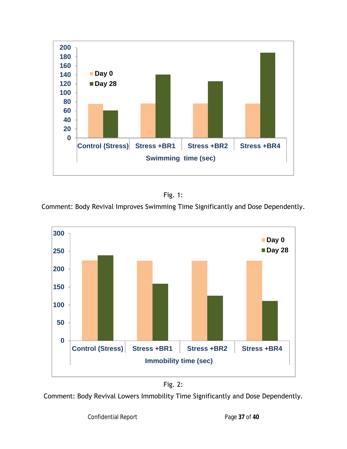



Comment: Body Revival Improves Swimming Time Significantly and Dose Dependently.



Fig. 2:

Comment: Body Revival Lowers Immobility Time Significantly and Dose Dependently.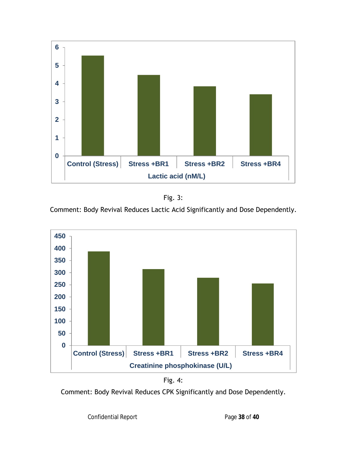



Comment: Body Revival Reduces Lactic Acid Significantly and Dose Dependently.





Comment: Body Revival Reduces CPK Significantly and Dose Dependently.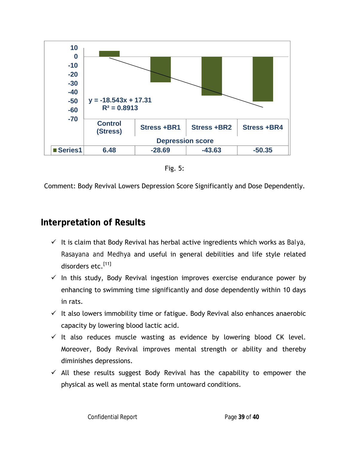

Fig. 5:

Comment: Body Revival Lowers Depression Score Significantly and Dose Dependently.

### **Interpretation of Results**

- It is claim that Body Revival has herbal active ingredients which works as *Balya, Rasayana and Medhya* and useful in general debilities and life style related disorders etc.<sup>[11]</sup>
- $\checkmark$  In this study, Body Revival ingestion improves exercise endurance power by enhancing to swimming time significantly and dose dependently within 10 days in rats.
- $\checkmark$  It also lowers immobility time or fatigue. Body Revival also enhances anaerobic capacity by lowering blood lactic acid.
- $\checkmark$  It also reduces muscle wasting as evidence by lowering blood CK level. Moreover, Body Revival improves mental strength or ability and thereby diminishes depressions.
- $\checkmark$  All these results suggest Body Revival has the capability to empower the physical as well as mental state form untoward conditions.